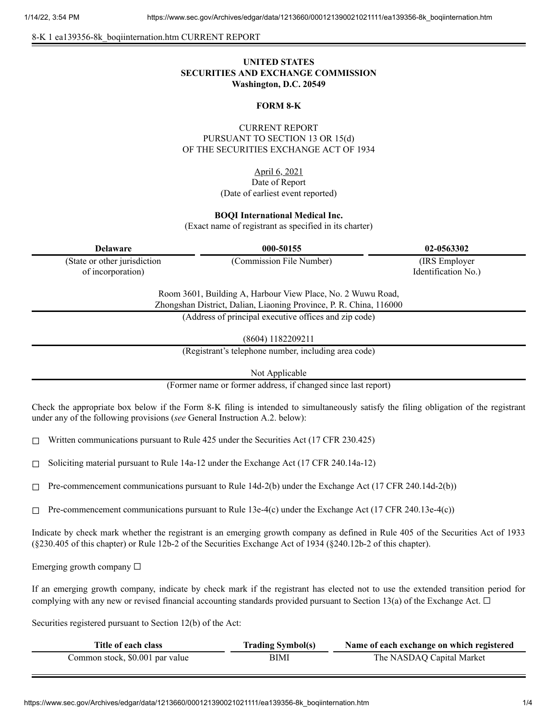8-K 1 ea139356-8k\_boqiinternation.htm CURRENT REPORT

## **UNITED STATES SECURITIES AND EXCHANGE COMMISSION Washington, D.C. 20549**

#### **FORM 8-K**

## CURRENT REPORT PURSUANT TO SECTION 13 OR 15(d) OF THE SECURITIES EXCHANGE ACT OF 1934

April 6, 2021 Date of Report (Date of earliest event reported)

#### **BOQI International Medical Inc.**

(Exact name of registrant as specified in its charter)

| <b>Delaware</b>              | 000-50155                                                                                                                         | 02-0563302          |
|------------------------------|-----------------------------------------------------------------------------------------------------------------------------------|---------------------|
| (State or other jurisdiction | (Commission File Number)                                                                                                          | (IRS Employer)      |
| of incorporation)            |                                                                                                                                   | Identification No.) |
|                              | Room 3601, Building A, Harbour View Place, No. 2 Wuwu Road,<br>Zhongshan District, Dalian, Liaoning Province, P. R. China, 116000 |                     |
|                              | (Address of principal executive offices and zip code)                                                                             |                     |
|                              | (8604) 1182209211                                                                                                                 |                     |

(Registrant's telephone number, including area code)

Not Applicable

(Former name or former address, if changed since last report)

Check the appropriate box below if the Form 8-K filing is intended to simultaneously satisfy the filing obligation of the registrant under any of the following provisions (*see* General Instruction A.2. below):

 $\Box$  Written communications pursuant to Rule 425 under the Securities Act (17 CFR 230.425)

 $\Box$  Soliciting material pursuant to Rule 14a-12 under the Exchange Act (17 CFR 240.14a-12)

 $\Box$  Pre-commencement communications pursuant to Rule 14d-2(b) under the Exchange Act (17 CFR 240.14d-2(b))

 $\Box$  Pre-commencement communications pursuant to Rule 13e-4(c) under the Exchange Act (17 CFR 240.13e-4(c))

Indicate by check mark whether the registrant is an emerging growth company as defined in Rule 405 of the Securities Act of 1933 (§230.405 of this chapter) or Rule 12b-2 of the Securities Exchange Act of 1934 (§240.12b-2 of this chapter).

Emerging growth company  $\Box$ 

If an emerging growth company, indicate by check mark if the registrant has elected not to use the extended transition period for complying with any new or revised financial accounting standards provided pursuant to Section 13(a) of the Exchange Act.  $\Box$ 

Securities registered pursuant to Section 12(b) of the Act:

| Title of each class             | <b>Trading Symbol(s)</b> | Name of each exchange on which registered |
|---------------------------------|--------------------------|-------------------------------------------|
| Common stock, \$0.001 par value | BIMI                     | The NASDAQ Capital Market                 |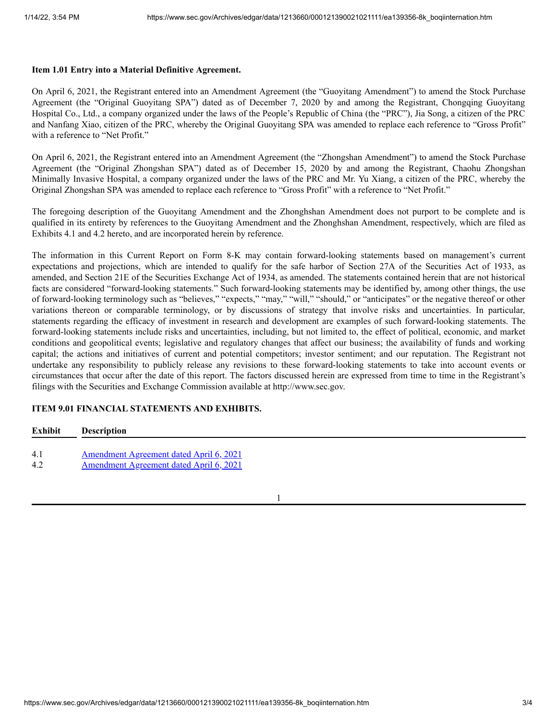#### **Item 1.01 Entry into a Material Definitive Agreement.**

On April 6, 2021, the Registrant entered into an Amendment Agreement (the "Guoyitang Amendment") to amend the Stock Purchase Agreement (the "Original Guoyitang SPA") dated as of December 7, 2020 by and among the Registrant, Chongqing Guoyitang Hospital Co., Ltd., a company organized under the laws of the People's Republic of China (the "PRC"), Jia Song, a citizen of the PRC and Nanfang Xiao, citizen of the PRC, whereby the Original Guoyitang SPA was amended to replace each reference to "Gross Profit" with a reference to "Net Profit."

On April 6, 2021, the Registrant entered into an Amendment Agreement (the "Zhongshan Amendment") to amend the Stock Purchase Agreement (the "Original Zhongshan SPA") dated as of December 15, 2020 by and among the Registrant, Chaohu Zhongshan Minimally Invasive Hospital, a company organized under the laws of the PRC and Mr. Yu Xiang, a citizen of the PRC, whereby the Original Zhongshan SPA was amended to replace each reference to "Gross Profit" with a reference to "Net Profit."

The foregoing description of the Guoyitang Amendment and the Zhonghshan Amendment does not purport to be complete and is qualified in its entirety by references to the Guoyitang Amendment and the Zhonghshan Amendment, respectively, which are filed as Exhibits 4.1 and 4.2 hereto, and are incorporated herein by reference.

The information in this Current Report on Form 8-K may contain forward-looking statements based on management's current expectations and projections, which are intended to qualify for the safe harbor of Section 27A of the Securities Act of 1933, as amended, and Section 21E of the Securities Exchange Act of 1934, as amended. The statements contained herein that are not historical facts are considered "forward-looking statements." Such forward-looking statements may be identified by, among other things, the use of forward-looking terminology such as "believes," "expects," "may," "will," "should," or "anticipates" or the negative thereof or other variations thereon or comparable terminology, or by discussions of strategy that involve risks and uncertainties. In particular, statements regarding the efficacy of investment in research and development are examples of such forward-looking statements. The forward-looking statements include risks and uncertainties, including, but not limited to, the effect of political, economic, and market conditions and geopolitical events; legislative and regulatory changes that affect our business; the availability of funds and working capital; the actions and initiatives of current and potential competitors; investor sentiment; and our reputation. The Registrant not undertake any responsibility to publicly release any revisions to these forward-looking statements to take into account events or circumstances that occur after the date of this report. The factors discussed herein are expressed from time to time in the Registrant's filings with the Securities and Exchange Commission available at http://www.sec.gov.

### **ITEM 9.01 FINANCIAL STATEMENTS AND EXHIBITS.**

# **Exhibit Description** 4.1 [Amendment](https://www.sec.gov/Archives/edgar/data/1213660/000121390021021111/ea139356ex4-1_boqiinter.htm) Agreement dated April 6, 2021 4.2 [Amendment](https://www.sec.gov/Archives/edgar/data/1213660/000121390021021111/ea139356ex4-2_boqiinter.htm) Agreement dated April 6, 2021

1